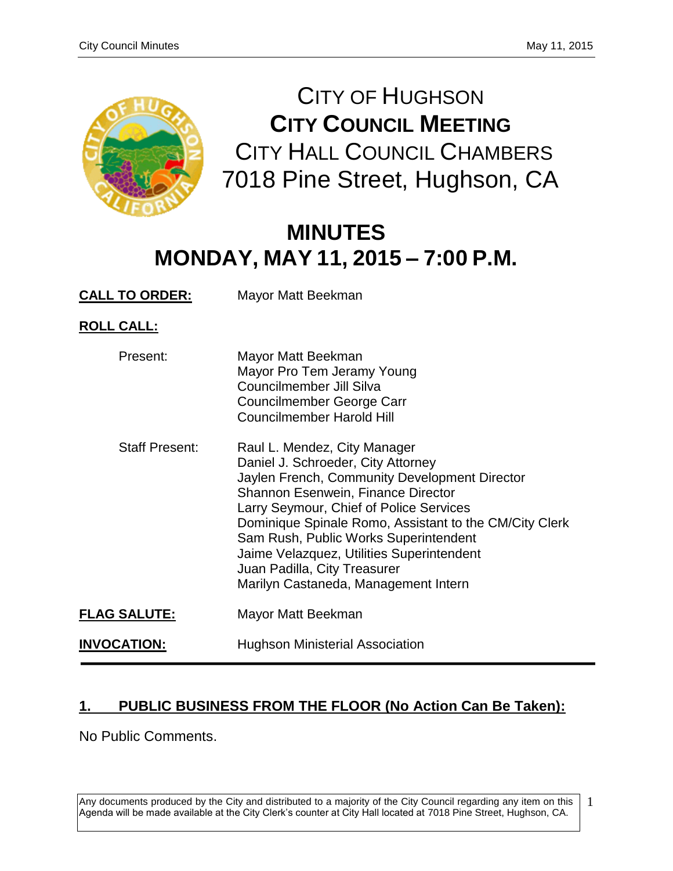

CITY OF HUGHSON **CITY COUNCIL MEETING** CITY HALL COUNCIL CHAMBERS 7018 Pine Street, Hughson, CA

# **MINUTES MONDAY, MAY 11, 2015 – 7:00 P.M.**

**CALL TO ORDER:** Mayor Matt Beekman

**ROLL CALL:**

| Present:              | Mayor Matt Beekman<br>Mayor Pro Tem Jeramy Young<br>Councilmember Jill Silva<br>Councilmember George Carr<br>Councilmember Harold Hill                                                                                                                                                                                                                                                                                       |
|-----------------------|------------------------------------------------------------------------------------------------------------------------------------------------------------------------------------------------------------------------------------------------------------------------------------------------------------------------------------------------------------------------------------------------------------------------------|
| <b>Staff Present:</b> | Raul L. Mendez, City Manager<br>Daniel J. Schroeder, City Attorney<br>Jaylen French, Community Development Director<br>Shannon Esenwein, Finance Director<br>Larry Seymour, Chief of Police Services<br>Dominique Spinale Romo, Assistant to the CM/City Clerk<br>Sam Rush, Public Works Superintendent<br>Jaime Velazquez, Utilities Superintendent<br>Juan Padilla, City Treasurer<br>Marilyn Castaneda, Management Intern |
| <b>FLAG SALUTE:</b>   | Mayor Matt Beekman                                                                                                                                                                                                                                                                                                                                                                                                           |
| <u>INVOCATION:</u>    | <b>Hughson Ministerial Association</b>                                                                                                                                                                                                                                                                                                                                                                                       |

# **1. PUBLIC BUSINESS FROM THE FLOOR (No Action Can Be Taken):**

No Public Comments.

Any documents produced by the City and distributed to a majority of the City Council regarding any item on this Agenda will be made available at the City Clerk's counter at City Hall located at 7018 Pine Street, Hughson, CA. 1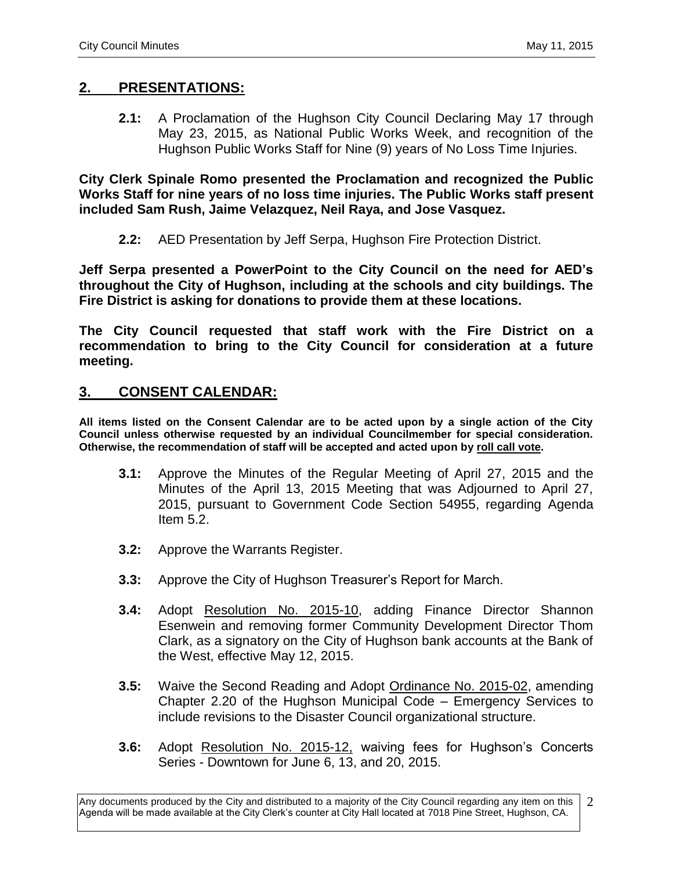## **2. PRESENTATIONS:**

**2.1:** A Proclamation of the Hughson City Council Declaring May 17 through May 23, 2015, as National Public Works Week, and recognition of the Hughson Public Works Staff for Nine (9) years of No Loss Time Injuries.

**City Clerk Spinale Romo presented the Proclamation and recognized the Public Works Staff for nine years of no loss time injuries. The Public Works staff present included Sam Rush, Jaime Velazquez, Neil Raya, and Jose Vasquez.** 

**2.2:** AED Presentation by Jeff Serpa, Hughson Fire Protection District.

**Jeff Serpa presented a PowerPoint to the City Council on the need for AED's throughout the City of Hughson, including at the schools and city buildings. The Fire District is asking for donations to provide them at these locations.** 

**The City Council requested that staff work with the Fire District on a recommendation to bring to the City Council for consideration at a future meeting.** 

## **3. CONSENT CALENDAR:**

**All items listed on the Consent Calendar are to be acted upon by a single action of the City Council unless otherwise requested by an individual Councilmember for special consideration. Otherwise, the recommendation of staff will be accepted and acted upon by roll call vote.**

- **3.1:** Approve the Minutes of the Regular Meeting of April 27, 2015 and the Minutes of the April 13, 2015 Meeting that was Adjourned to April 27, 2015, pursuant to Government Code Section 54955, regarding Agenda Item 5.2.
- **3.2:** Approve the Warrants Register.
- **3.3:** Approve the City of Hughson Treasurer's Report for March.
- **3.4:** Adopt Resolution No. 2015-10, adding Finance Director Shannon Esenwein and removing former Community Development Director Thom Clark, as a signatory on the City of Hughson bank accounts at the Bank of the West, effective May 12, 2015.
- **3.5:** Waive the Second Reading and Adopt Ordinance No. 2015-02, amending Chapter 2.20 of the Hughson Municipal Code – Emergency Services to include revisions to the Disaster Council organizational structure.
- **3.6:** Adopt Resolution No. 2015-12, waiving fees for Hughson's Concerts Series - Downtown for June 6, 13, and 20, 2015.

Any documents produced by the City and distributed to a majority of the City Council regarding any item on this Agenda will be made available at the City Clerk's counter at City Hall located at 7018 Pine Street, Hughson, CA. 2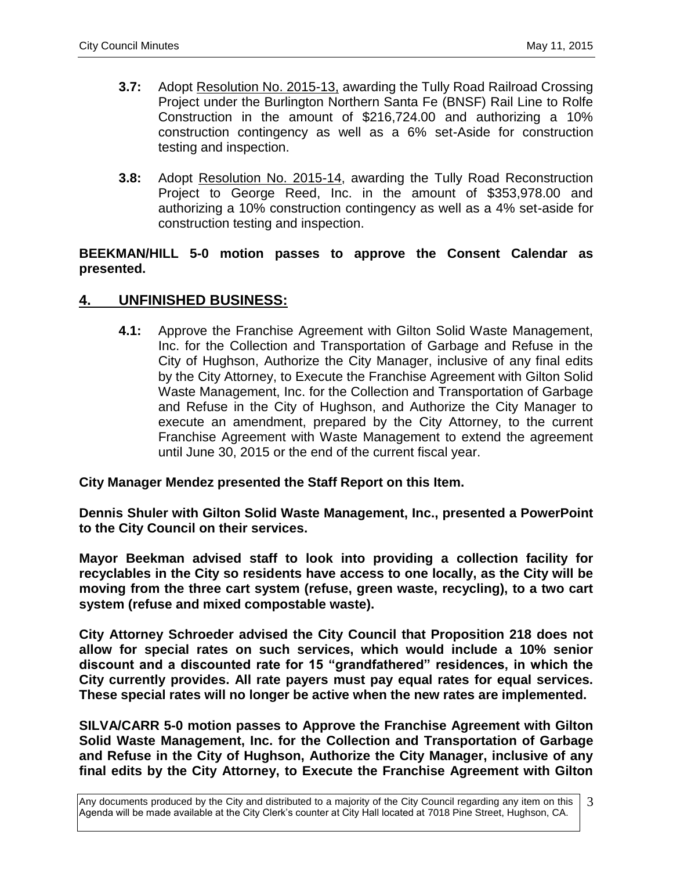- **3.7:** Adopt Resolution No. 2015-13, awarding the Tully Road Railroad Crossing Project under the Burlington Northern Santa Fe (BNSF) Rail Line to Rolfe Construction in the amount of \$216,724.00 and authorizing a 10% construction contingency as well as a 6% set-Aside for construction testing and inspection.
- **3.8:** Adopt Resolution No. 2015-14, awarding the Tully Road Reconstruction Project to George Reed, Inc. in the amount of \$353,978.00 and authorizing a 10% construction contingency as well as a 4% set-aside for construction testing and inspection.

## **BEEKMAN/HILL 5-0 motion passes to approve the Consent Calendar as presented.**

## **4. UNFINISHED BUSINESS:**

**4.1:** Approve the Franchise Agreement with Gilton Solid Waste Management, Inc. for the Collection and Transportation of Garbage and Refuse in the City of Hughson, Authorize the City Manager, inclusive of any final edits by the City Attorney, to Execute the Franchise Agreement with Gilton Solid Waste Management, Inc. for the Collection and Transportation of Garbage and Refuse in the City of Hughson, and Authorize the City Manager to execute an amendment, prepared by the City Attorney, to the current Franchise Agreement with Waste Management to extend the agreement until June 30, 2015 or the end of the current fiscal year.

#### **City Manager Mendez presented the Staff Report on this Item.**

**Dennis Shuler with Gilton Solid Waste Management, Inc., presented a PowerPoint to the City Council on their services.** 

**Mayor Beekman advised staff to look into providing a collection facility for recyclables in the City so residents have access to one locally, as the City will be moving from the three cart system (refuse, green waste, recycling), to a two cart system (refuse and mixed compostable waste).**

**City Attorney Schroeder advised the City Council that Proposition 218 does not allow for special rates on such services, which would include a 10% senior discount and a discounted rate for 15 "grandfathered" residences, in which the City currently provides. All rate payers must pay equal rates for equal services. These special rates will no longer be active when the new rates are implemented.** 

**SILVA/CARR 5-0 motion passes to Approve the Franchise Agreement with Gilton Solid Waste Management, Inc. for the Collection and Transportation of Garbage and Refuse in the City of Hughson, Authorize the City Manager, inclusive of any final edits by the City Attorney, to Execute the Franchise Agreement with Gilton** 

Any documents produced by the City and distributed to a majority of the City Council regarding any item on this Agenda will be made available at the City Clerk's counter at City Hall located at 7018 Pine Street, Hughson, CA. 3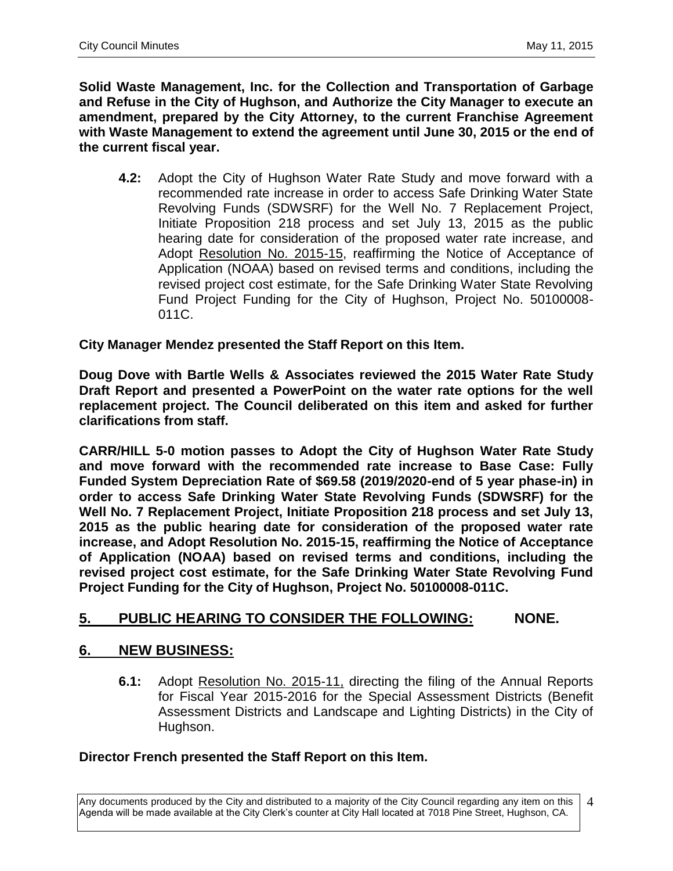**Solid Waste Management, Inc. for the Collection and Transportation of Garbage and Refuse in the City of Hughson, and Authorize the City Manager to execute an amendment, prepared by the City Attorney, to the current Franchise Agreement with Waste Management to extend the agreement until June 30, 2015 or the end of the current fiscal year.**

**4.2:** Adopt the City of Hughson Water Rate Study and move forward with a recommended rate increase in order to access Safe Drinking Water State Revolving Funds (SDWSRF) for the Well No. 7 Replacement Project, Initiate Proposition 218 process and set July 13, 2015 as the public hearing date for consideration of the proposed water rate increase, and Adopt Resolution No. 2015-15, reaffirming the Notice of Acceptance of Application (NOAA) based on revised terms and conditions, including the revised project cost estimate, for the Safe Drinking Water State Revolving Fund Project Funding for the City of Hughson, Project No. 50100008- 011C.

## **City Manager Mendez presented the Staff Report on this Item.**

**Doug Dove with Bartle Wells & Associates reviewed the 2015 Water Rate Study Draft Report and presented a PowerPoint on the water rate options for the well replacement project. The Council deliberated on this item and asked for further clarifications from staff.** 

**CARR/HILL 5-0 motion passes to Adopt the City of Hughson Water Rate Study and move forward with the recommended rate increase to Base Case: Fully Funded System Depreciation Rate of \$69.58 (2019/2020-end of 5 year phase-in) in order to access Safe Drinking Water State Revolving Funds (SDWSRF) for the Well No. 7 Replacement Project, Initiate Proposition 218 process and set July 13, 2015 as the public hearing date for consideration of the proposed water rate increase, and Adopt Resolution No. 2015-15, reaffirming the Notice of Acceptance of Application (NOAA) based on revised terms and conditions, including the revised project cost estimate, for the Safe Drinking Water State Revolving Fund Project Funding for the City of Hughson, Project No. 50100008-011C.**

## **5. PUBLIC HEARING TO CONSIDER THE FOLLOWING: NONE.**

## **6. NEW BUSINESS:**

**6.1:** Adopt Resolution No. 2015-11, directing the filing of the Annual Reports for Fiscal Year 2015-2016 for the Special Assessment Districts (Benefit Assessment Districts and Landscape and Lighting Districts) in the City of Hughson.

## **Director French presented the Staff Report on this Item.**

Any documents produced by the City and distributed to a majority of the City Council regarding any item on this Agenda will be made available at the City Clerk's counter at City Hall located at 7018 Pine Street, Hughson, CA. 4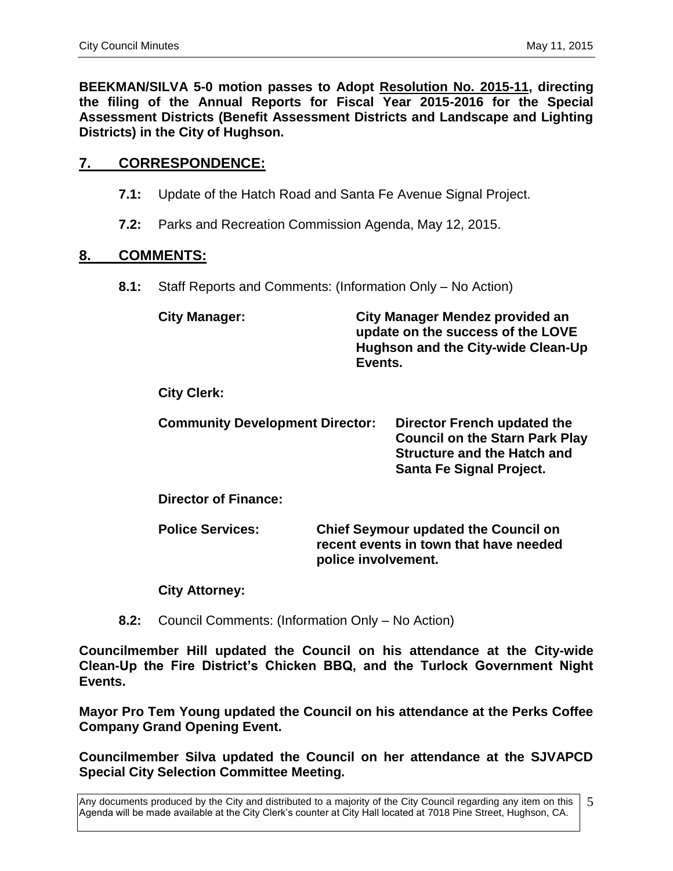**BEEKMAN/SILVA 5-0 motion passes to Adopt Resolution No. 2015-11, directing the filing of the Annual Reports for Fiscal Year 2015-2016 for the Special Assessment Districts (Benefit Assessment Districts and Landscape and Lighting Districts) in the City of Hughson.**

# **7. CORRESPONDENCE:**

- **7.1:** Update of the Hatch Road and Santa Fe Avenue Signal Project.
- **7.2:** Parks and Recreation Commission Agenda, May 12, 2015.

#### **8. COMMENTS:**

**8.1:** Staff Reports and Comments: (Information Only – No Action)

| <b>City Manager:</b> | City Manager Mendez provided an    |
|----------------------|------------------------------------|
|                      | update on the success of the LOVE  |
|                      | Hughson and the City-wide Clean-Up |
|                      | Events.                            |

**City Clerk:**

| <b>Community Development Director:</b> | Director French updated the           |
|----------------------------------------|---------------------------------------|
|                                        | <b>Council on the Starn Park Play</b> |
|                                        | <b>Structure and the Hatch and</b>    |
|                                        | <b>Santa Fe Signal Project.</b>       |

**Director of Finance:**

**Police Services: Chief Seymour updated the Council on recent events in town that have needed police involvement.** 

#### **City Attorney:**

**8.2:** Council Comments: (Information Only – No Action)

**Councilmember Hill updated the Council on his attendance at the City-wide Clean-Up the Fire District's Chicken BBQ, and the Turlock Government Night Events.** 

**Mayor Pro Tem Young updated the Council on his attendance at the Perks Coffee Company Grand Opening Event.** 

**Councilmember Silva updated the Council on her attendance at the SJVAPCD Special City Selection Committee Meeting.** 

Any documents produced by the City and distributed to a majority of the City Council regarding any item on this Agenda will be made available at the City Clerk's counter at City Hall located at 7018 Pine Street, Hughson, CA. 5